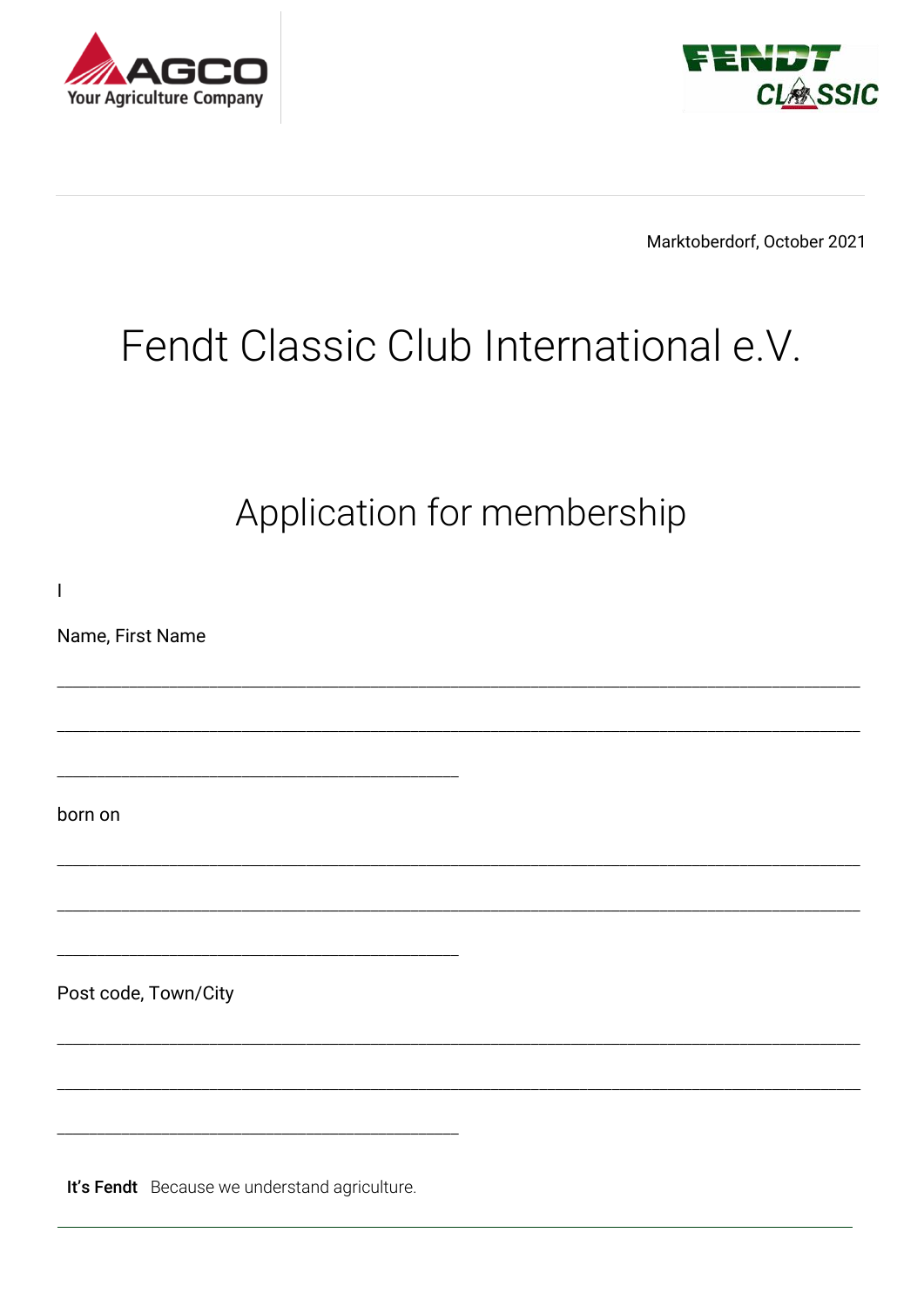



Marktoberdorf, October 2021

## Fendt Classic Club International e.V.

Application for membership

 $\overline{1}$ Name, First Name born on Post code, Town/City

It's Fendt Because we understand agriculture.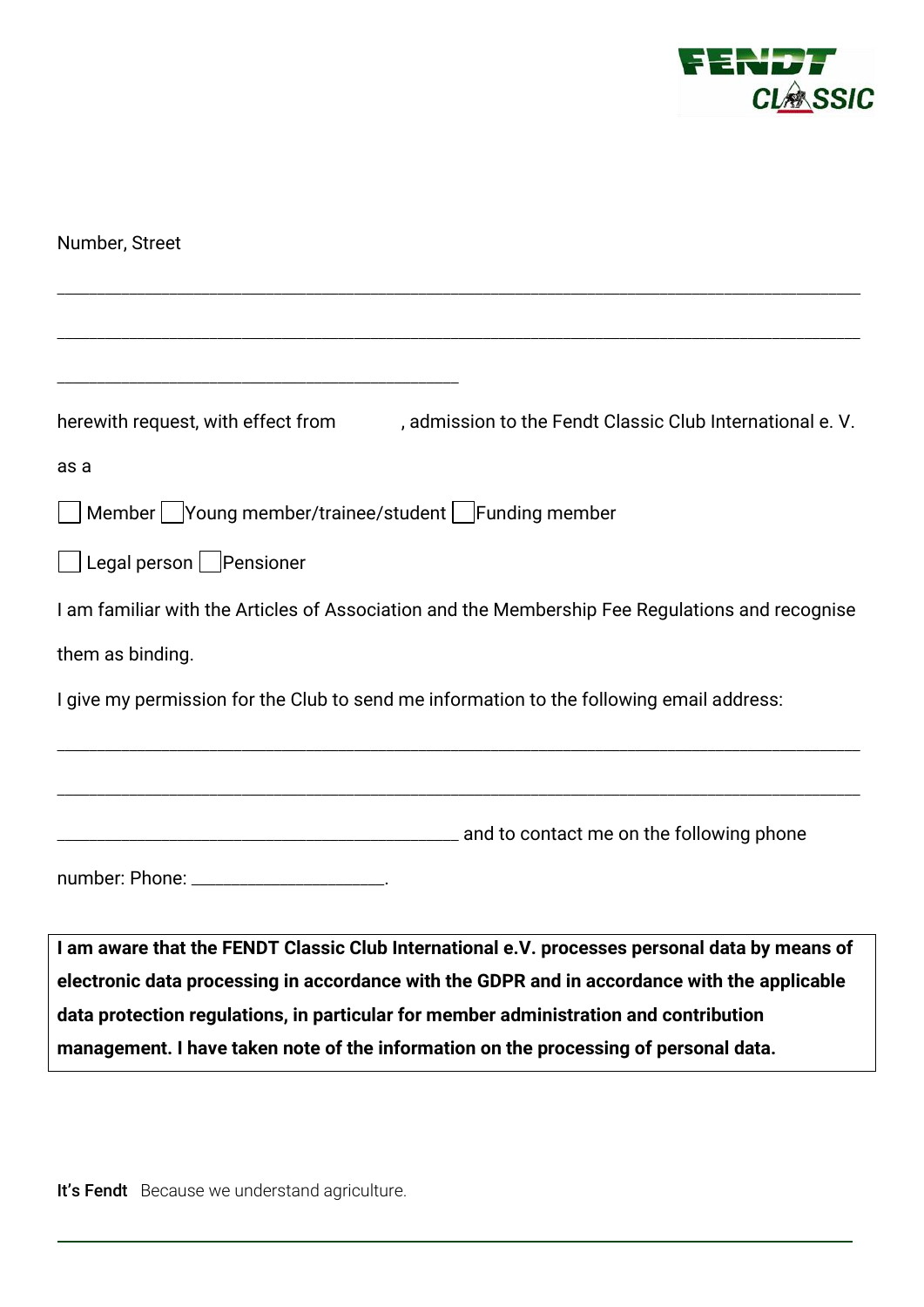

| Number, Street                                                                                                                                                                |
|-------------------------------------------------------------------------------------------------------------------------------------------------------------------------------|
|                                                                                                                                                                               |
|                                                                                                                                                                               |
| herewith request, with effect from<br>, admission to the Fendt Classic Club International e. V.                                                                               |
| as a                                                                                                                                                                          |
| Member   Young member/trainee/student   Funding member                                                                                                                        |
| $\Box$ Legal person $\Box$ Pensioner                                                                                                                                          |
| I am familiar with the Articles of Association and the Membership Fee Regulations and recognise                                                                               |
| them as binding.                                                                                                                                                              |
| I give my permission for the Club to send me information to the following email address:                                                                                      |
|                                                                                                                                                                               |
|                                                                                                                                                                               |
| number: Phone: _______________________.                                                                                                                                       |
| I am aware that the FENDT Classic Club International e.V. processes personal data by means of                                                                                 |
| electronic data processing in accordance with the GDPR and in accordance with the applicable                                                                                  |
| data protection regulations, in particular for member administration and contribution<br>management. I have taken note of the information on the processing of personal data. |

It's Fendt Because we understand agriculture.